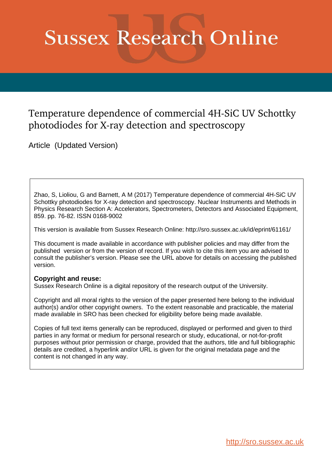## **Sussex Research Online**

## Temperature dependence of commercial 4H-SiC UV Schottky photodiodes for X-ray detection and spectroscopy

Article (Updated Version)

Zhao, S, Lioliou, G and Barnett, A M (2017) Temperature dependence of commercial 4H-SiC UV Schottky photodiodes for X-ray detection and spectroscopy. Nuclear Instruments and Methods in Physics Research Section A: Accelerators, Spectrometers, Detectors and Associated Equipment, 859. pp. 76-82. ISSN 0168-9002

This version is available from Sussex Research Online: http://sro.sussex.ac.uk/id/eprint/61161/

This document is made available in accordance with publisher policies and may differ from the published version or from the version of record. If you wish to cite this item you are advised to consult the publisher's version. Please see the URL above for details on accessing the published version.

## **Copyright and reuse:**

Sussex Research Online is a digital repository of the research output of the University.

Copyright and all moral rights to the version of the paper presented here belong to the individual author(s) and/or other copyright owners. To the extent reasonable and practicable, the material made available in SRO has been checked for eligibility before being made available.

Copies of full text items generally can be reproduced, displayed or performed and given to third parties in any format or medium for personal research or study, educational, or not-for-profit purposes without prior permission or charge, provided that the authors, title and full bibliographic details are credited, a hyperlink and/or URL is given for the original metadata page and the content is not changed in any way.